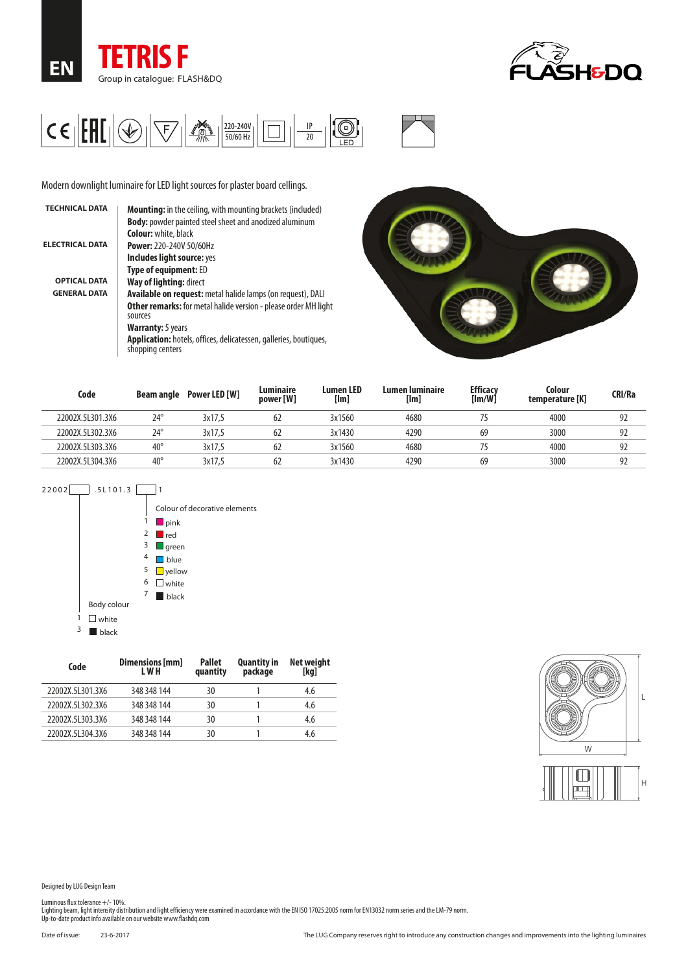





Modern downlight luminaire for LED light sources for plaster board cellings.

| <b>TECHNICAL DATA</b>  | <b>Mounting:</b> in the ceiling, with mounting brackets (included)                           |
|------------------------|----------------------------------------------------------------------------------------------|
|                        | <b>Body:</b> powder painted steel sheet and anodized aluminum                                |
|                        | <b>Colour:</b> white, black                                                                  |
| <b>ELECTRICAL DATA</b> | Power: 220-240V 50/60Hz                                                                      |
|                        | Includes light source: yes                                                                   |
|                        | <b>Type of equipment: ED</b>                                                                 |
| <b>OPTICAL DATA</b>    | Way of lighting: direct                                                                      |
| <b>GENERAL DATA</b>    | Available on request: metal halide lamps (on request), DALI                                  |
|                        | <b>Other remarks:</b> for metal halide version - please order MH light<br>sources            |
|                        | <b>Warranty:</b> 5 years                                                                     |
|                        | <b>Application:</b> hotels, offices, delicatessen, galleries, boutiques,<br>shopping centers |
|                        |                                                                                              |



| Code             | Beam angle   | Power LED [W] | Luminaire<br>power [W] | <b>Lumen LED</b><br>[lm] | Lumen luminaire<br>[lm] | <b>Efficacv</b><br>[Im/W] | Colour<br>temperature [K] | <b>CRI/Ra</b> |
|------------------|--------------|---------------|------------------------|--------------------------|-------------------------|---------------------------|---------------------------|---------------|
| 22002X.5L301.3X6 | $24^{\circ}$ | 3x17.5        | 62                     | 3x1560                   | 4680                    |                           | 4000                      | 92            |
| 22002X.5L302.3X6 | $24^{\circ}$ | 3x17.5        | 62                     | 3x1430                   | 4290                    | 69                        | 3000                      | 92            |
| 22002X.5L303.3X6 | $40^{\circ}$ | 3x17.5        | 62                     | 3x1560                   | 4680                    |                           | 4000                      | 92            |
| 22002X.5L304.3X6 | $40^{\circ}$ | 3x17.5        | 62                     | 3x1430                   | 4290                    | 69                        | 3000                      | 92            |





| Code             | Dimensions [mm]<br>L W H | <b>Pallet</b><br>quantity | <b>Quantity in</b><br>package | <b>Net weight</b><br>[kg] |
|------------------|--------------------------|---------------------------|-------------------------------|---------------------------|
| 22002X.5L301.3X6 | 348 348 144              | 30                        |                               | 4.6                       |
| 22002X.5L302.3X6 | 348 348 144              | 30                        |                               | 4.6                       |
| 22002X.5L303.3X6 | 348 348 144              | 30                        |                               | 4.6                       |
| 22002X.5L304.3X6 | 348 348 144              | 30                        |                               | 4.6                       |



Designed by LUG Design Team

Luminous flux tolerance +/- 10%.<br>Lighting beam, light intensity distribution and light efficiency were examined in accordance with the EN ISO 17025:2005 norm for EN13032 norm series and the LM-79 norm.<br>Up-to-date product i